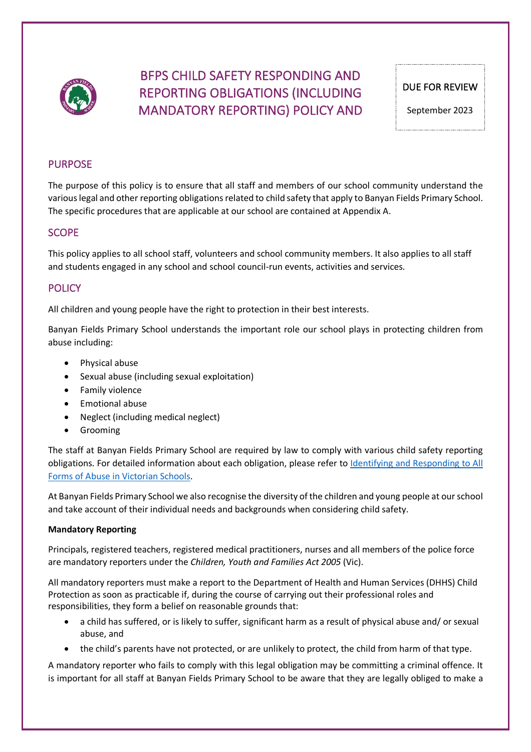

# BFPS CHILD SAFETY RESPONDING AND REPORTING OBLIGATIONS (INCLUDING MANDATORY REPORTING) POLICY AND

## PURPOSE

The purpose of this policy is to ensure that all staff and members of our school community understand the various legal and other reporting obligations related to child safety that apply to Banyan Fields Primary School. The specific procedures that are applicable at our school are contained at Appendix A.

## **SCOPE**

This policy applies to all school staff, volunteers and school community members. It also applies to all staff and students engaged in any school and school council-run events, activities and services.

## **POLICY**

All children and young people have the right to protection in their best interests.

Banyan Fields Primary School understands the important role our school plays in protecting children from abuse including:

- Physical abuse
- Sexual abuse (including sexual exploitation)
- Family violence
- Emotional abuse
- Neglect (including medical neglect)
- Grooming

The staff at Banyan Fields Primary School are required by law to comply with various child safety reporting obligations. For detailed information about each obligation, please refer to Identifying and Responding to All Forms of Abuse in Victorian Schools.

At Banyan Fields Primary School we also recognise the diversity of the children and young people at our school and take account of their individual needs and backgrounds when considering child safety.

### **Mandatory Reporting**

Principals, registered teachers, registered medical practitioners, nurses and all members of the police force are mandatory reporters under the *Children, Youth and Families Act 2005* (Vic).

All mandatory reporters must make a report to the Department of Health and Human Services (DHHS) Child Protection as soon as practicable if, during the course of carrying out their professional roles and responsibilities, they form a belief on reasonable grounds that:

- a child has suffered, or is likely to suffer, significant harm as a result of physical abuse and/ or sexual abuse, and
- the child's parents have not protected, or are unlikely to protect, the child from harm of that type.

A mandatory reporter who fails to comply with this legal obligation may be committing a criminal offence. It is important for all staff at Banyan Fields Primary School to be aware that they are legally obliged to make a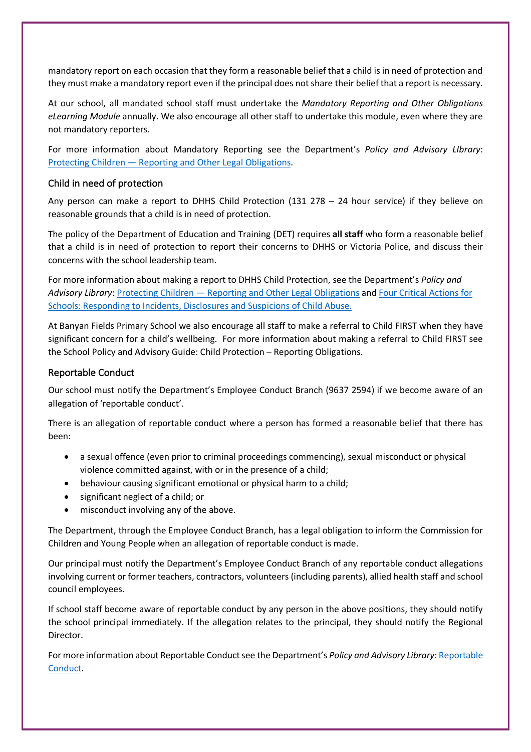mandatory report on each occasion that they form a reasonable belief that a child is in need of protection and they must make a mandatory report even if the principal does not share their belief that a report is necessary.

At our school, all mandated school staff must undertake the *Mandatory Reporting and Other Obligations eLearning Module* annually. We also encourage all other staff to undertake this module, even where they are not mandatory reporters.

For more information about Mandatory Reporting see the Department's *Policy and Advisory LIbrary*: Protecting Children — Reporting and Other Legal Obligations.

### Child in need of protection

Any person can make a report to DHHS Child Protection (131 278 – 24 hour service) if they believe on reasonable grounds that a child is in need of protection.

The policy of the Department of Education and Training (DET) requires **all staff** who form a reasonable belief that a child is in need of protection to report their concerns to DHHS or Victoria Police, and discuss their concerns with the school leadership team.

For more information about making a report to DHHS Child Protection, see the Department's *Policy and Advisory Library*: Protecting Children — Reporting and Other Legal Obligations and Four Critical Actions for Schools: Responding to Incidents, Disclosures and Suspicions of Child Abuse.

At Banyan Fields Primary School we also encourage all staff to make a referral to Child FIRST when they have significant concern for a child's wellbeing. For more information about making a referral to Child FIRST see the School Policy and Advisory Guide: Child Protection – Reporting Obligations.

### Reportable Conduct

Our school must notify the Department's Employee Conduct Branch (9637 2594) if we become aware of an allegation of 'reportable conduct'.

There is an allegation of reportable conduct where a person has formed a reasonable belief that there has been:

- a sexual offence (even prior to criminal proceedings commencing), sexual misconduct or physical violence committed against, with or in the presence of a child;
- behaviour causing significant emotional or physical harm to a child;
- significant neglect of a child; or
- misconduct involving any of the above.

The Department, through the Employee Conduct Branch, has a legal obligation to inform the Commission for Children and Young People when an allegation of reportable conduct is made.

Our principal must notify the Department's Employee Conduct Branch of any reportable conduct allegations involving current or former teachers, contractors, volunteers (including parents), allied health staff and school council employees.

If school staff become aware of reportable conduct by any person in the above positions, they should notify the school principal immediately. If the allegation relates to the principal, they should notify the Regional Director.

For more information about Reportable Conduct see the Department's *Policy and Advisory Library*: Reportable Conduct.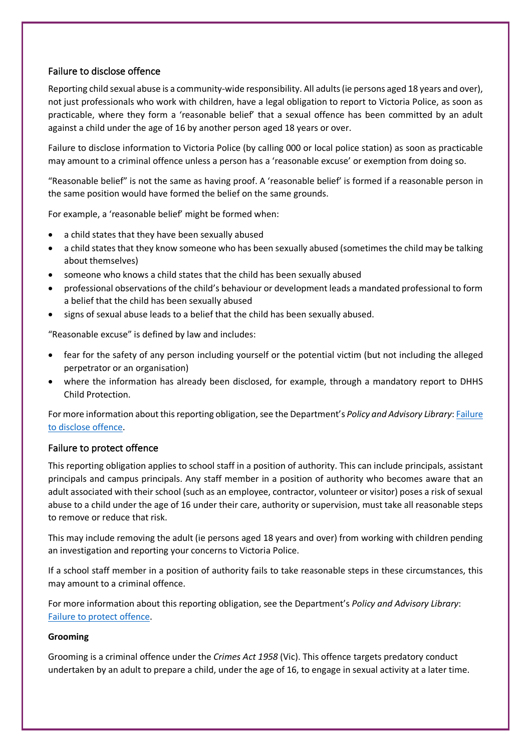## Failure to disclose offence

Reporting child sexual abuse is a community-wide responsibility. All adults (ie persons aged 18 years and over), not just professionals who work with children, have a legal obligation to report to Victoria Police, as soon as practicable, where they form a 'reasonable belief' that a sexual offence has been committed by an adult against a child under the age of 16 by another person aged 18 years or over.

Failure to disclose information to Victoria Police (by calling 000 or local police station) as soon as practicable may amount to a criminal offence unless a person has a 'reasonable excuse' or exemption from doing so.

"Reasonable belief" is not the same as having proof. A 'reasonable belief' is formed if a reasonable person in the same position would have formed the belief on the same grounds.

For example, a 'reasonable belief' might be formed when:

- a child states that they have been sexually abused
- a child states that they know someone who has been sexually abused (sometimes the child may be talking about themselves)
- someone who knows a child states that the child has been sexually abused
- professional observations of the child's behaviour or development leads a mandated professional to form a belief that the child has been sexually abused
- signs of sexual abuse leads to a belief that the child has been sexually abused.

"Reasonable excuse" is defined by law and includes:

- fear for the safety of any person including yourself or the potential victim (but not including the alleged perpetrator or an organisation)
- where the information has already been disclosed, for example, through a mandatory report to DHHS Child Protection.

For more information about this reporting obligation, see the Department's *Policy and Advisory Library*: Failure to disclose offence.

### Failure to protect offence

This reporting obligation applies to school staff in a position of authority. This can include principals, assistant principals and campus principals. Any staff member in a position of authority who becomes aware that an adult associated with their school (such as an employee, contractor, volunteer or visitor) poses a risk of sexual abuse to a child under the age of 16 under their care, authority or supervision, must take all reasonable steps to remove or reduce that risk.

This may include removing the adult (ie persons aged 18 years and over) from working with children pending an investigation and reporting your concerns to Victoria Police.

If a school staff member in a position of authority fails to take reasonable steps in these circumstances, this may amount to a criminal offence.

For more information about this reporting obligation, see the Department's *Policy and Advisory Library*: Failure to protect offence.

### **Grooming**

Grooming is a criminal offence under the *Crimes Act 1958* (Vic). This offence targets predatory conduct undertaken by an adult to prepare a child, under the age of 16, to engage in sexual activity at a later time.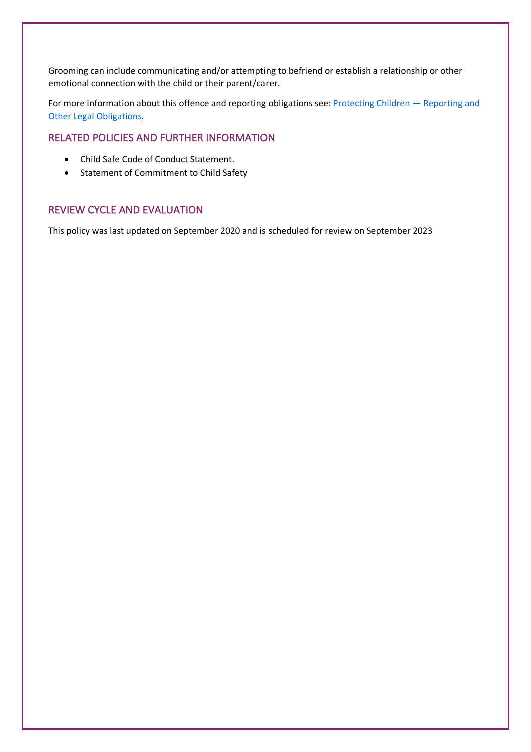Grooming can include communicating and/or attempting to befriend or establish a relationship or other emotional connection with the child or their parent/carer.

For more information about this offence and reporting obligations see: Protecting Children – Reporting and Other Legal Obligations.

## RELATED POLICIES AND FURTHER INFORMATION

- Child Safe Code of Conduct Statement.
- Statement of Commitment to Child Safety

## REVIEW CYCLE AND EVALUATION

This policy was last updated on September 2020 and is scheduled for review on September 2023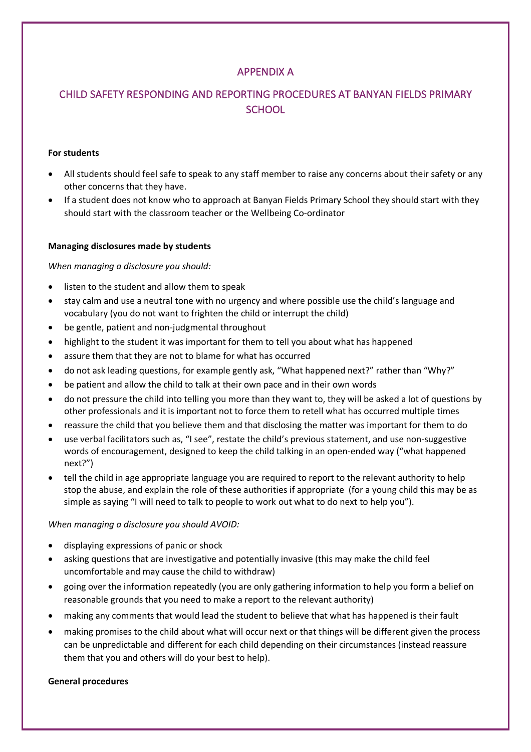## APPENDIX A

## CHILD SAFETY RESPONDING AND REPORTING PROCEDURES AT BANYAN FIELDS PRIMARY **SCHOOL**

### **For students**

- All students should feel safe to speak to any staff member to raise any concerns about their safety or any other concerns that they have.
- If a student does not know who to approach at Banyan Fields Primary School they should start with they should start with the classroom teacher or the Wellbeing Co-ordinator

### **Managing disclosures made by students**

### *When managing a disclosure you should:*

- listen to the student and allow them to speak
- stay calm and use a neutral tone with no urgency and where possible use the child's language and vocabulary (you do not want to frighten the child or interrupt the child)
- be gentle, patient and non-judgmental throughout
- highlight to the student it was important for them to tell you about what has happened
- assure them that they are not to blame for what has occurred
- do not ask leading questions, for example gently ask, "What happened next?" rather than "Why?"
- be patient and allow the child to talk at their own pace and in their own words
- do not pressure the child into telling you more than they want to, they will be asked a lot of questions by other professionals and it is important not to force them to retell what has occurred multiple times
- reassure the child that you believe them and that disclosing the matter was important for them to do
- use verbal facilitators such as, "I see", restate the child's previous statement, and use non-suggestive words of encouragement, designed to keep the child talking in an open-ended way ("what happened next?")
- tell the child in age appropriate language you are required to report to the relevant authority to help stop the abuse, and explain the role of these authorities if appropriate (for a young child this may be as simple as saying "I will need to talk to people to work out what to do next to help you").

### *When managing a disclosure you should AVOID:*

- displaying expressions of panic or shock
- asking questions that are investigative and potentially invasive (this may make the child feel uncomfortable and may cause the child to withdraw)
- going over the information repeatedly (you are only gathering information to help you form a belief on reasonable grounds that you need to make a report to the relevant authority)
- making any comments that would lead the student to believe that what has happened is their fault
- making promises to the child about what will occur next or that things will be different given the process can be unpredictable and different for each child depending on their circumstances (instead reassure them that you and others will do your best to help).

### **General procedures**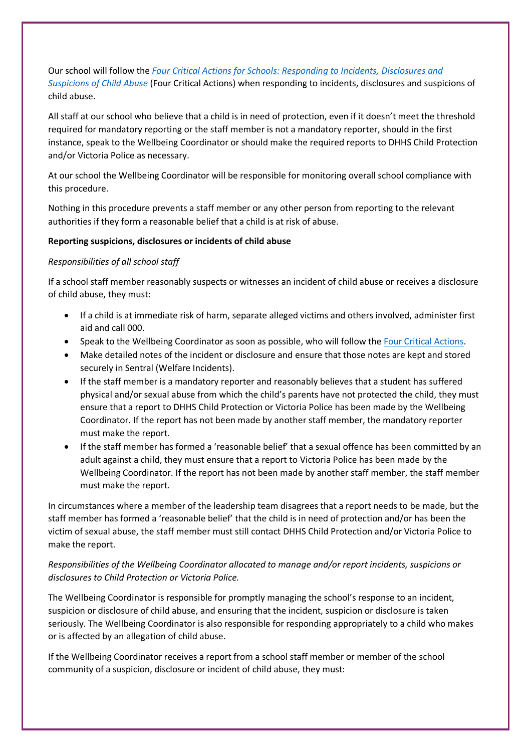Our school will follow the *Four Critical Actions for Schools: Responding to Incidents, Disclosures and Suspicions of Child Abuse* (Four Critical Actions) when responding to incidents, disclosures and suspicions of child abuse.

All staff at our school who believe that a child is in need of protection, even if it doesn't meet the threshold required for mandatory reporting or the staff member is not a mandatory reporter, should in the first instance, speak to the Wellbeing Coordinator or should make the required reports to DHHS Child Protection and/or Victoria Police as necessary.

At our school the Wellbeing Coordinator will be responsible for monitoring overall school compliance with this procedure.

Nothing in this procedure prevents a staff member or any other person from reporting to the relevant authorities if they form a reasonable belief that a child is at risk of abuse.

### **Reporting suspicions, disclosures or incidents of child abuse**

### *Responsibilities of all school staff*

If a school staff member reasonably suspects or witnesses an incident of child abuse or receives a disclosure of child abuse, they must:

- If a child is at immediate risk of harm, separate alleged victims and others involved, administer first aid and call 000.
- Speak to the Wellbeing Coordinator as soon as possible, who will follow the Four Critical Actions.
- Make detailed notes of the incident or disclosure and ensure that those notes are kept and stored securely in Sentral (Welfare Incidents).
- If the staff member is a mandatory reporter and reasonably believes that a student has suffered physical and/or sexual abuse from which the child's parents have not protected the child, they must ensure that a report to DHHS Child Protection or Victoria Police has been made by the Wellbeing Coordinator. If the report has not been made by another staff member, the mandatory reporter must make the report.
- If the staff member has formed a 'reasonable belief' that a sexual offence has been committed by an adult against a child, they must ensure that a report to Victoria Police has been made by the Wellbeing Coordinator. If the report has not been made by another staff member, the staff member must make the report.

In circumstances where a member of the leadership team disagrees that a report needs to be made, but the staff member has formed a 'reasonable belief' that the child is in need of protection and/or has been the victim of sexual abuse, the staff member must still contact DHHS Child Protection and/or Victoria Police to make the report.

## *Responsibilities of the Wellbeing Coordinator allocated to manage and/or report incidents, suspicions or disclosures to Child Protection or Victoria Police.*

The Wellbeing Coordinator is responsible for promptly managing the school's response to an incident, suspicion or disclosure of child abuse, and ensuring that the incident, suspicion or disclosure is taken seriously. The Wellbeing Coordinator is also responsible for responding appropriately to a child who makes or is affected by an allegation of child abuse.

If the Wellbeing Coordinator receives a report from a school staff member or member of the school community of a suspicion, disclosure or incident of child abuse, they must: